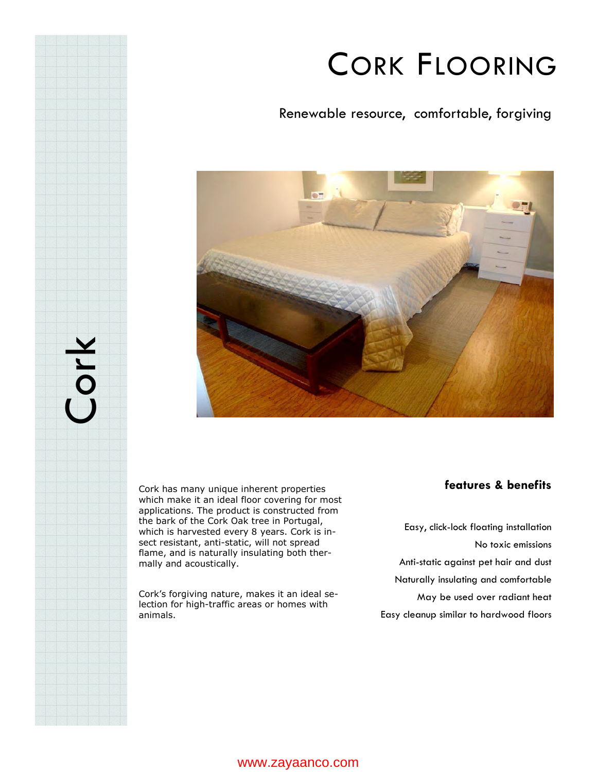## CORK FLOORING

Renewable resource, comfortable, forgiving



Cork has many unique inherent properties which make it an ideal floor covering for most applications. The product is constructed from the bark of the Cork Oak tree in Portugal, which is harvested every 8 years. Cork is insect resistant, anti-static, will not spread flame, and is naturally insulating both thermally and acoustically.

Cork

Cork's forgiving nature, makes it an ideal selection for high-traffic areas or homes with animals.

#### **features & benefits**

Easy, click-lock floating installation No toxic emissions Anti-static against pet hair and dust Naturally insulating and comfortable May be used over radiant heat Easy cleanup similar to hardwood floors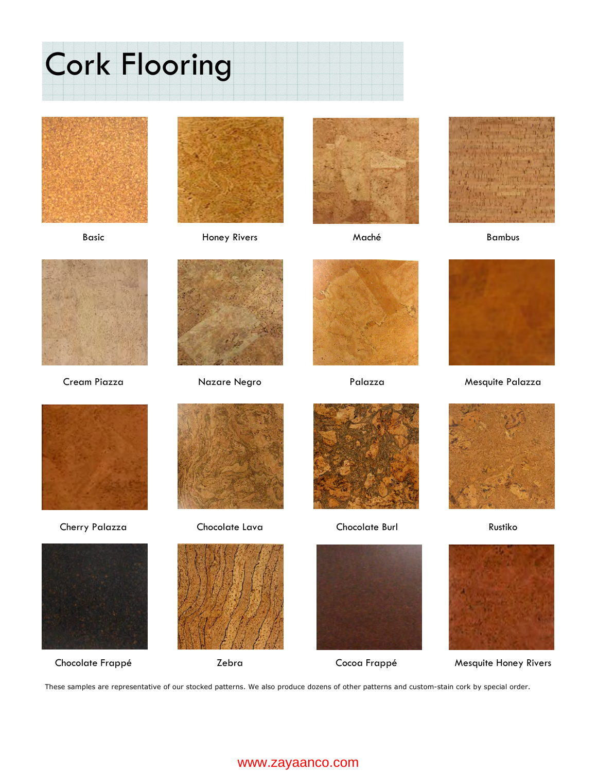# Cork Flooring





Basic **Honey Rivers** Maché Maché Bambus













Cream Piazza Nazare Negro Palazza Mesquite Palazza







Cherry Palazza Chocolate Lava Chocolate Burl Rustiko









Chocolate Frappé **Zebra** Zebra Cocoa Frappé Mesquite Honey Rivers

These samples are representative of our stocked patterns. We also produce dozens of other patterns and custom-stain cork by special order.

#### www.zayaanco.com